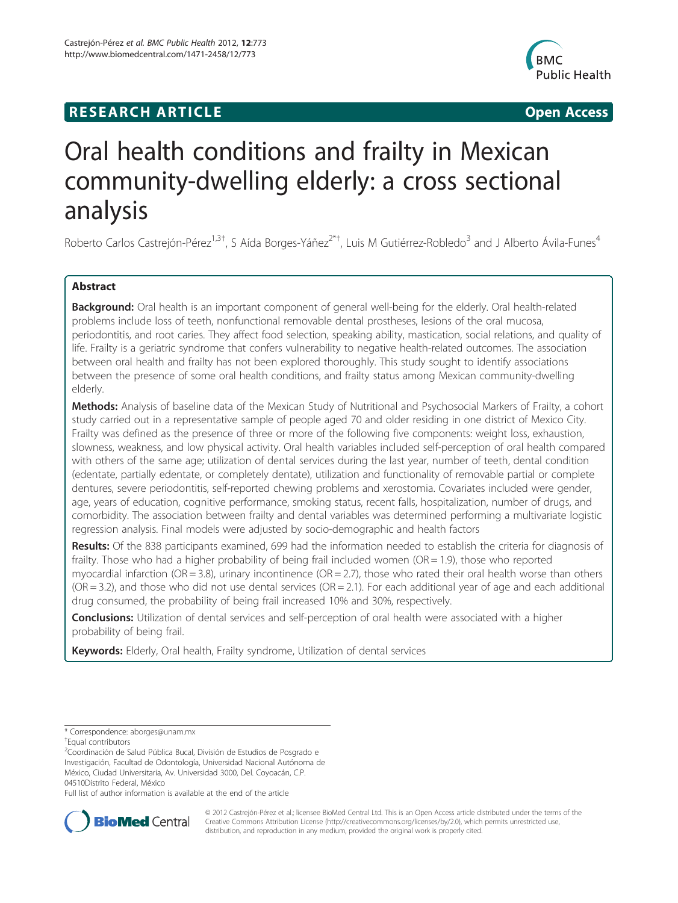## **RESEARCH ARTICLE Example 2014 12:30 THE Open Access**



# Oral health conditions and frailty in Mexican community-dwelling elderly: a cross sectional analysis

Roberto Carlos Castrejón-Pérez<sup>1,3†</sup>, S Aída Borges-Yáñez<sup>2\*†</sup>, Luis M Gutiérrez-Robledo<sup>3</sup> and J Alberto Ávila-Funes<sup>4</sup>

## Abstract

Background: Oral health is an important component of general well-being for the elderly. Oral health-related problems include loss of teeth, nonfunctional removable dental prostheses, lesions of the oral mucosa, periodontitis, and root caries. They affect food selection, speaking ability, mastication, social relations, and quality of life. Frailty is a geriatric syndrome that confers vulnerability to negative health-related outcomes. The association between oral health and frailty has not been explored thoroughly. This study sought to identify associations between the presence of some oral health conditions, and frailty status among Mexican community-dwelling elderly.

Methods: Analysis of baseline data of the Mexican Study of Nutritional and Psychosocial Markers of Frailty, a cohort study carried out in a representative sample of people aged 70 and older residing in one district of Mexico City. Frailty was defined as the presence of three or more of the following five components: weight loss, exhaustion, slowness, weakness, and low physical activity. Oral health variables included self-perception of oral health compared with others of the same age; utilization of dental services during the last year, number of teeth, dental condition (edentate, partially edentate, or completely dentate), utilization and functionality of removable partial or complete dentures, severe periodontitis, self-reported chewing problems and xerostomia. Covariates included were gender, age, years of education, cognitive performance, smoking status, recent falls, hospitalization, number of drugs, and comorbidity. The association between frailty and dental variables was determined performing a multivariate logistic regression analysis. Final models were adjusted by socio-demographic and health factors

Results: Of the 838 participants examined, 699 had the information needed to establish the criteria for diagnosis of frailty. Those who had a higher probability of being frail included women ( $OR = 1.9$ ), those who reported myocardial infarction (OR = 3.8), urinary incontinence (OR = 2.7), those who rated their oral health worse than others  $(OR = 3.2)$ , and those who did not use dental services  $(OR = 2.1)$ . For each additional year of age and each additional drug consumed, the probability of being frail increased 10% and 30%, respectively.

**Conclusions:** Utilization of dental services and self-perception of oral health were associated with a higher probability of being frail.

Keywords: Elderly, Oral health, Frailty syndrome, Utilization of dental services

Full list of author information is available at the end of the article



© 2012 Castrejón-Pérez et al.; licensee BioMed Central Ltd. This is an Open Access article distributed under the terms of the Creative Commons Attribution License (<http://creativecommons.org/licenses/by/2.0>), which permits unrestricted use, distribution, and reproduction in any medium, provided the original work is properly cited.

<sup>\*</sup> Correspondence: [aborges@unam.mx](mailto:aborges@unam.mx) †

Equal contributors

<sup>&</sup>lt;sup>2</sup>Coordinación de Salud Pública Bucal, División de Estudios de Posgrado e Investigación, Facultad de Odontología, Universidad Nacional Autónoma de México, Ciudad Universitaria, Av. Universidad 3000, Del. Coyoacán, C.P. 04510Distrito Federal, México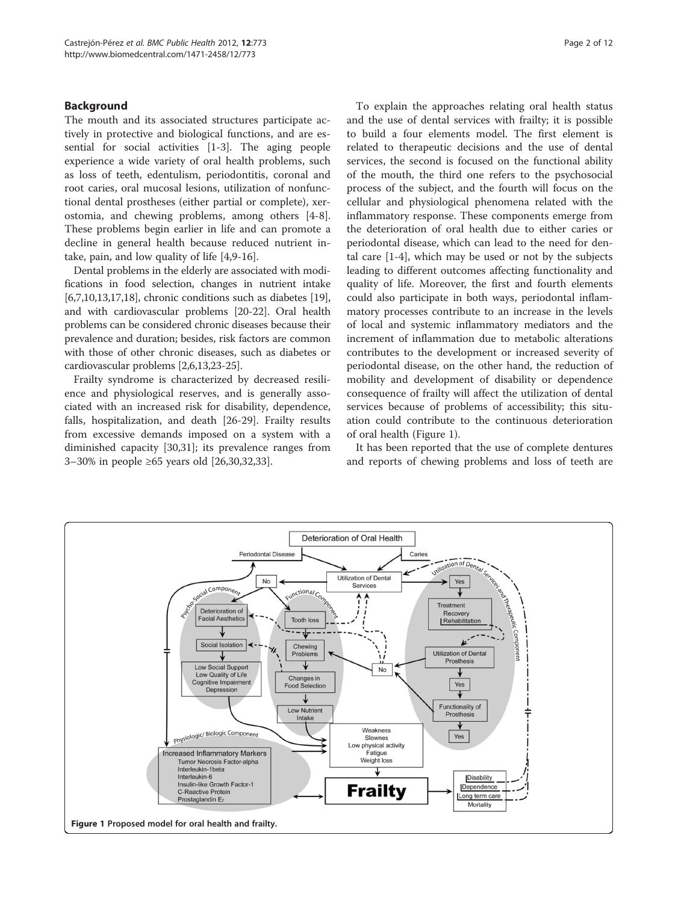## **Background**

The mouth and its associated structures participate actively in protective and biological functions, and are essential for social activities [\[1](#page-10-0)-[3\]](#page-10-0). The aging people experience a wide variety of oral health problems, such as loss of teeth, edentulism, periodontitis, coronal and root caries, oral mucosal lesions, utilization of nonfunctional dental prostheses (either partial or complete), xerostomia, and chewing problems, among others [[4-8](#page-10-0)]. These problems begin earlier in life and can promote a decline in general health because reduced nutrient intake, pain, and low quality of life [[4,9-16](#page-10-0)].

Dental problems in the elderly are associated with modifications in food selection, changes in nutrient intake [[6,7](#page-10-0),[10,13,17,18](#page-10-0)], chronic conditions such as diabetes [[19](#page-10-0)], and with cardiovascular problems [[20-22\]](#page-10-0). Oral health problems can be considered chronic diseases because their prevalence and duration; besides, risk factors are common with those of other chronic diseases, such as diabetes or cardiovascular problems [[2](#page-10-0),[6,13,23-25\]](#page-10-0).

Frailty syndrome is characterized by decreased resilience and physiological reserves, and is generally associated with an increased risk for disability, dependence, falls, hospitalization, and death [[26-29\]](#page-10-0). Frailty results from excessive demands imposed on a system with a diminished capacity [[30,31](#page-11-0)]; its prevalence ranges from 3–30% in people ≥65 years old [[26](#page-10-0),[30](#page-11-0),[32](#page-11-0),[33](#page-11-0)].

To explain the approaches relating oral health status and the use of dental services with frailty; it is possible to build a four elements model. The first element is related to therapeutic decisions and the use of dental services, the second is focused on the functional ability of the mouth, the third one refers to the psychosocial process of the subject, and the fourth will focus on the cellular and physiological phenomena related with the inflammatory response. These components emerge from the deterioration of oral health due to either caries or periodontal disease, which can lead to the need for dental care [[1-4](#page-10-0)], which may be used or not by the subjects leading to different outcomes affecting functionality and quality of life. Moreover, the first and fourth elements could also participate in both ways, periodontal inflammatory processes contribute to an increase in the levels of local and systemic inflammatory mediators and the increment of inflammation due to metabolic alterations contributes to the development or increased severity of periodontal disease, on the other hand, the reduction of mobility and development of disability or dependence consequence of frailty will affect the utilization of dental services because of problems of accessibility; this situation could contribute to the continuous deterioration of oral health (Figure 1).

It has been reported that the use of complete dentures and reports of chewing problems and loss of teeth are

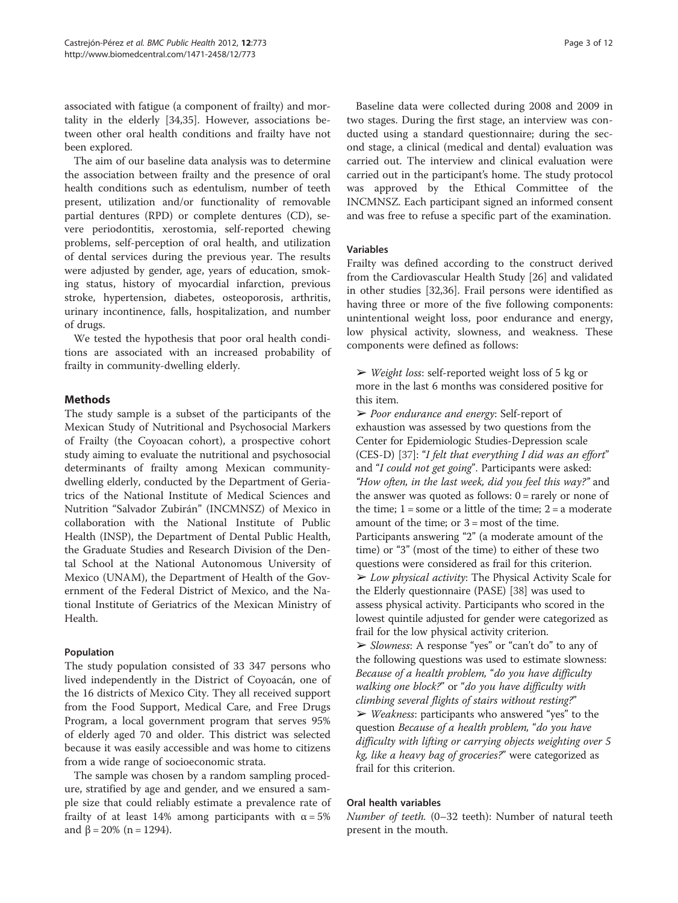associated with fatigue (a component of frailty) and mortality in the elderly [\[34,35](#page-11-0)]. However, associations between other oral health conditions and frailty have not been explored.

The aim of our baseline data analysis was to determine the association between frailty and the presence of oral health conditions such as edentulism, number of teeth present, utilization and/or functionality of removable partial dentures (RPD) or complete dentures (CD), severe periodontitis, xerostomia, self-reported chewing problems, self-perception of oral health, and utilization of dental services during the previous year. The results were adjusted by gender, age, years of education, smoking status, history of myocardial infarction, previous stroke, hypertension, diabetes, osteoporosis, arthritis, urinary incontinence, falls, hospitalization, and number of drugs.

We tested the hypothesis that poor oral health conditions are associated with an increased probability of frailty in community-dwelling elderly.

## Methods

The study sample is a subset of the participants of the Mexican Study of Nutritional and Psychosocial Markers of Frailty (the Coyoacan cohort), a prospective cohort study aiming to evaluate the nutritional and psychosocial determinants of frailty among Mexican communitydwelling elderly, conducted by the Department of Geriatrics of the National Institute of Medical Sciences and Nutrition "Salvador Zubirán" (INCMNSZ) of Mexico in collaboration with the National Institute of Public Health (INSP), the Department of Dental Public Health, the Graduate Studies and Research Division of the Dental School at the National Autonomous University of Mexico (UNAM), the Department of Health of the Government of the Federal District of Mexico, and the National Institute of Geriatrics of the Mexican Ministry of Health.

#### Population

The study population consisted of 33 347 persons who lived independently in the District of Coyoacán, one of the 16 districts of Mexico City. They all received support from the Food Support, Medical Care, and Free Drugs Program, a local government program that serves 95% of elderly aged 70 and older. This district was selected because it was easily accessible and was home to citizens from a wide range of socioeconomic strata.

The sample was chosen by a random sampling procedure, stratified by age and gender, and we ensured a sample size that could reliably estimate a prevalence rate of frailty of at least 14% among participants with  $\alpha = 5\%$ and  $\beta = 20\%$  (n = 1294).

Baseline data were collected during 2008 and 2009 in two stages. During the first stage, an interview was conducted using a standard questionnaire; during the second stage, a clinical (medical and dental) evaluation was carried out. The interview and clinical evaluation were carried out in the participant's home. The study protocol was approved by the Ethical Committee of the INCMNSZ. Each participant signed an informed consent and was free to refuse a specific part of the examination.

#### Variables

Frailty was defined according to the construct derived from the Cardiovascular Health Study [[26\]](#page-10-0) and validated in other studies [\[32,36\]](#page-11-0). Frail persons were identified as having three or more of the five following components: unintentional weight loss, poor endurance and energy, low physical activity, slowness, and weakness. These components were defined as follows:

 $\triangleright$  Weight loss: self-reported weight loss of 5 kg or more in the last 6 months was considered positive for this item.

➢ Poor endurance and energy: Self-report of exhaustion was assessed by two questions from the Center for Epidemiologic Studies-Depression scale (CES-D) [\[37\]](#page-11-0): "I felt that everything I did was an effort" and "I could not get going". Participants were asked: "How often, in the last week, did you feel this way?" and the answer was quoted as follows:  $0 =$  rarely or none of the time:  $1 =$ some or a little of the time:  $2 =$ a moderate amount of the time; or  $3 = \text{most of the time.}$ Participants answering "2" (a moderate amount of the time) or "3" (most of the time) to either of these two questions were considered as frail for this criterion.  $\triangleright$  Low physical activity: The Physical Activity Scale for the Elderly questionnaire (PASE) [[38\]](#page-11-0) was used to assess physical activity. Participants who scored in the lowest quintile adjusted for gender were categorized as frail for the low physical activity criterion. ➢ Slowness: A response "yes" or "can't do" to any of the following questions was used to estimate slowness: Because of a health problem, "do you have difficulty walking one block?" or "do you have difficulty with climbing several flights of stairs without resting?" ➢ Weakness: participants who answered "yes" to the question Because of a health problem, "do you have difficulty with lifting or carrying objects weighting over 5 kg, like a heavy bag of groceries?" were categorized as frail for this criterion.

#### Oral health variables

Number of teeth. (0–32 teeth): Number of natural teeth present in the mouth.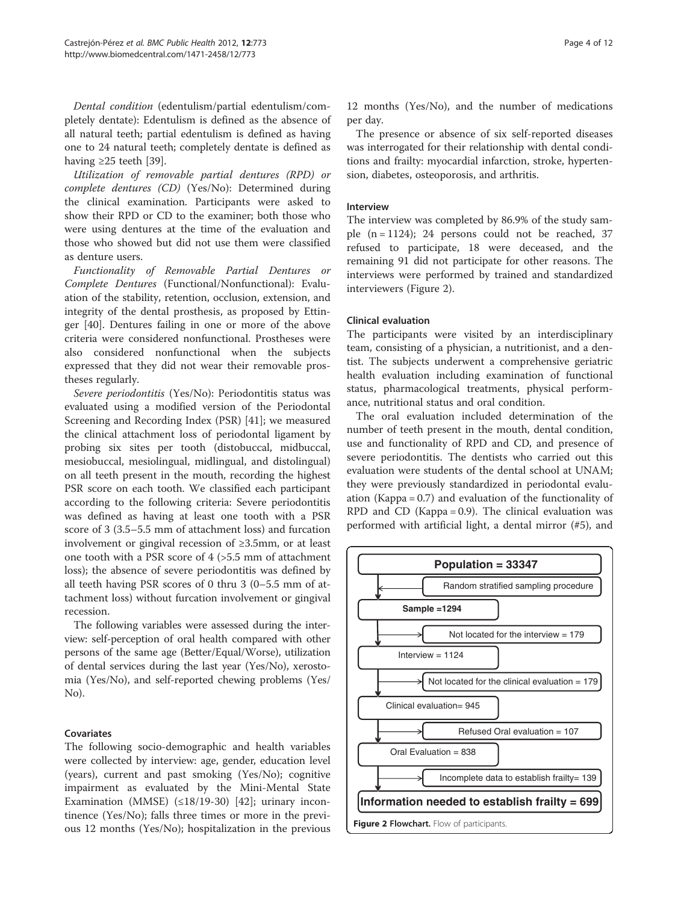<span id="page-3-0"></span>Dental condition (edentulism/partial edentulism/completely dentate): Edentulism is defined as the absence of all natural teeth; partial edentulism is defined as having one to 24 natural teeth; completely dentate is defined as having  $\geq$  25 teeth [\[39\]](#page-11-0).

Utilization of removable partial dentures (RPD) or complete dentures (CD) (Yes/No): Determined during the clinical examination. Participants were asked to show their RPD or CD to the examiner; both those who were using dentures at the time of the evaluation and those who showed but did not use them were classified as denture users.

Functionality of Removable Partial Dentures or Complete Dentures (Functional/Nonfunctional): Evaluation of the stability, retention, occlusion, extension, and integrity of the dental prosthesis, as proposed by Ettinger [[40\]](#page-11-0). Dentures failing in one or more of the above criteria were considered nonfunctional. Prostheses were also considered nonfunctional when the subjects expressed that they did not wear their removable prostheses regularly.

Severe periodontitis (Yes/No): Periodontitis status was evaluated using a modified version of the Periodontal Screening and Recording Index (PSR) [\[41](#page-11-0)]; we measured the clinical attachment loss of periodontal ligament by probing six sites per tooth (distobuccal, midbuccal, mesiobuccal, mesiolingual, midlingual, and distolingual) on all teeth present in the mouth, recording the highest PSR score on each tooth. We classified each participant according to the following criteria: Severe periodontitis was defined as having at least one tooth with a PSR score of 3 (3.5–5.5 mm of attachment loss) and furcation involvement or gingival recession of ≥3.5mm, or at least one tooth with a PSR score of 4 (>5.5 mm of attachment loss); the absence of severe periodontitis was defined by all teeth having PSR scores of 0 thru 3 (0–5.5 mm of attachment loss) without furcation involvement or gingival recession.

The following variables were assessed during the interview: self-perception of oral health compared with other persons of the same age (Better/Equal/Worse), utilization of dental services during the last year (Yes/No), xerostomia (Yes/No), and self-reported chewing problems (Yes/ No).

## Covariates

The following socio-demographic and health variables were collected by interview: age, gender, education level (years), current and past smoking (Yes/No); cognitive impairment as evaluated by the Mini-Mental State Examination (MMSE)  $(≤18/19-30)$  [[42](#page-11-0)]; urinary incontinence (Yes/No); falls three times or more in the previous 12 months (Yes/No); hospitalization in the previous 12 months (Yes/No), and the number of medications per day.

The presence or absence of six self-reported diseases was interrogated for their relationship with dental conditions and frailty: myocardial infarction, stroke, hypertension, diabetes, osteoporosis, and arthritis.

#### Interview

The interview was completed by 86.9% of the study sample  $(n = 1124)$ ; 24 persons could not be reached, 37 refused to participate, 18 were deceased, and the remaining 91 did not participate for other reasons. The interviews were performed by trained and standardized interviewers (Figure 2).

#### Clinical evaluation

The participants were visited by an interdisciplinary team, consisting of a physician, a nutritionist, and a dentist. The subjects underwent a comprehensive geriatric health evaluation including examination of functional status, pharmacological treatments, physical performance, nutritional status and oral condition.

The oral evaluation included determination of the number of teeth present in the mouth, dental condition, use and functionality of RPD and CD, and presence of severe periodontitis. The dentists who carried out this evaluation were students of the dental school at UNAM; they were previously standardized in periodontal evaluation (Kappa = 0.7) and evaluation of the functionality of RPD and CD (Kappa = 0.9). The clinical evaluation was performed with artificial light, a dental mirror (#5), and

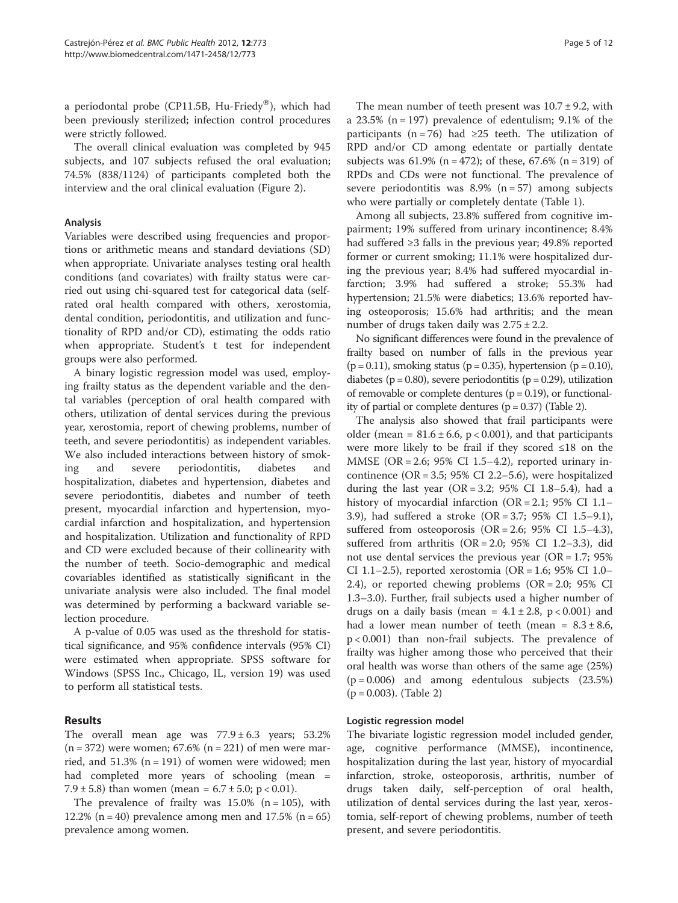a periodontal probe (CP11.5B, Hu-Friedy®), which had been previously sterilized; infection control procedures were strictly followed.

The overall clinical evaluation was completed by 945 subjects, and 107 subjects refused the oral evaluation; 74.5% (838/1124) of participants completed both the interview and the oral clinical evaluation (Figure [2](#page-3-0)).

## Analysis

Variables were described using frequencies and proportions or arithmetic means and standard deviations (SD) when appropriate. Univariate analyses testing oral health conditions (and covariates) with frailty status were carried out using chi-squared test for categorical data (selfrated oral health compared with others, xerostomia, dental condition, periodontitis, and utilization and functionality of RPD and/or CD), estimating the odds ratio when appropriate. Student's t test for independent groups were also performed.

A binary logistic regression model was used, employing frailty status as the dependent variable and the dental variables (perception of oral health compared with others, utilization of dental services during the previous year, xerostomia, report of chewing problems, number of teeth, and severe periodontitis) as independent variables. We also included interactions between history of smoking and severe periodontitis, diabetes and hospitalization, diabetes and hypertension, diabetes and severe periodontitis, diabetes and number of teeth present, myocardial infarction and hypertension, myocardial infarction and hospitalization, and hypertension and hospitalization. Utilization and functionality of RPD and CD were excluded because of their collinearity with the number of teeth. Socio-demographic and medical covariables identified as statistically significant in the univariate analysis were also included. The final model was determined by performing a backward variable selection procedure.

A p-value of 0.05 was used as the threshold for statistical significance, and 95% confidence intervals (95% CI) were estimated when appropriate. SPSS software for Windows (SPSS Inc., Chicago, IL, version 19) was used to perform all statistical tests.

## Results

The overall mean age was  $77.9 \pm 6.3$  years;  $53.2\%$  $(n = 372)$  were women; 67.6%  $(n = 221)$  of men were married, and  $51.3\%$  (n = 191) of women were widowed; men had completed more years of schooling (mean = 7.9  $\pm$  5.8) than women (mean = 6.7  $\pm$  5.0; p < 0.01).

The prevalence of frailty was  $15.0\%$  (n = 105), with 12.2% (n = 40) prevalence among men and 17.5% (n = 65) prevalence among women.

The mean number of teeth present was  $10.7 \pm 9.2$ , with a 23.5% ( $n = 197$ ) prevalence of edentulism; 9.1% of the participants (n = 76) had  $\geq$  25 teeth. The utilization of RPD and/or CD among edentate or partially dentate subjects was 61.9% (n = 472); of these, 67.6% (n = 319) of RPDs and CDs were not functional. The prevalence of severe periodontitis was  $8.9\%$  (n = 57) among subjects who were partially or completely dentate (Table [1](#page-5-0)).

Among all subjects, 23.8% suffered from cognitive impairment; 19% suffered from urinary incontinence; 8.4% had suffered ≥3 falls in the previous year; 49.8% reported former or current smoking; 11.1% were hospitalized during the previous year; 8.4% had suffered myocardial infarction; 3.9% had suffered a stroke; 55.3% had hypertension; 21.5% were diabetics; 13.6% reported having osteoporosis; 15.6% had arthritis; and the mean number of drugs taken daily was  $2.75 \pm 2.2$ .

No significant differences were found in the prevalence of frailty based on number of falls in the previous year  $(p = 0.11)$ , smoking status  $(p = 0.35)$ , hypertension  $(p = 0.10)$ , diabetes ( $p = 0.80$ ), severe periodontitis ( $p = 0.29$ ), utilization of removable or complete dentures  $(p = 0.19)$ , or functionality of partial or complete dentures  $(p = 0.37)$  (Table [2\)](#page-6-0).

The analysis also showed that frail participants were older (mean =  $81.6 \pm 6.6$ , p < 0.001), and that participants were more likely to be frail if they scored ≤18 on the MMSE (OR = 2.6; 95% CI 1.5–4.2), reported urinary incontinence ( $OR = 3.5$ ; 95% CI 2.2–5.6), were hospitalized during the last year (OR = 3.2; 95% CI 1.8–5.4), had a history of myocardial infarction (OR = 2.1; 95% CI 1.1– 3.9), had suffered a stroke (OR = 3.7; 95% CI 1.5–9.1), suffered from osteoporosis (OR = 2.6; 95% CI 1.5–4.3), suffered from arthritis  $(OR = 2.0; 95\% \text{ CI } 1.2-3.3)$ , did not use dental services the previous year ( $OR = 1.7$ ; 95% CI 1.1–2.5), reported xerostomia (OR = 1.6; 95% CI 1.0– 2.4), or reported chewing problems (OR = 2.0; 95% CI 1.3–3.0). Further, frail subjects used a higher number of drugs on a daily basis (mean =  $4.1 \pm 2.8$ , p < 0.001) and had a lower mean number of teeth (mean =  $8.3 \pm 8.6$ , p < 0.001) than non-frail subjects. The prevalence of frailty was higher among those who perceived that their oral health was worse than others of the same age (25%)  $(p = 0.006)$  and among edentulous subjects  $(23.5\%)$ (p = 0.003). (Table [2](#page-6-0))

#### Logistic regression model

The bivariate logistic regression model included gender, age, cognitive performance (MMSE), incontinence, hospitalization during the last year, history of myocardial infarction, stroke, osteoporosis, arthritis, number of drugs taken daily, self-perception of oral health, utilization of dental services during the last year, xerostomia, self-report of chewing problems, number of teeth present, and severe periodontitis.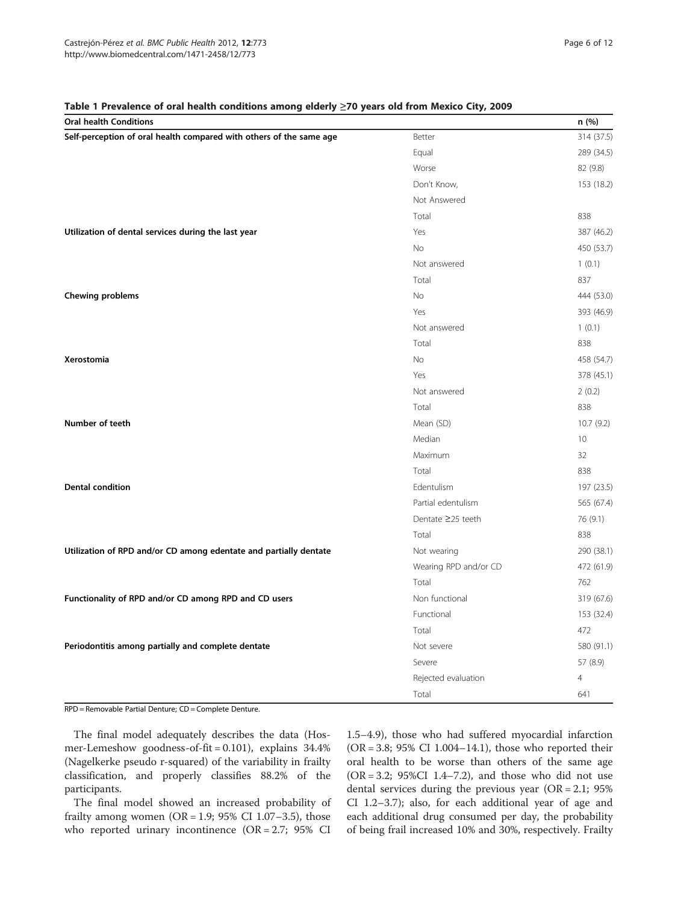<span id="page-5-0"></span>

| <b>Oral health Conditions</b>                                       |                       | n (%)      |
|---------------------------------------------------------------------|-----------------------|------------|
| Self-perception of oral health compared with others of the same age | Better                | 314 (37.5) |
|                                                                     | Equal                 | 289 (34.5) |
|                                                                     | Worse                 | 82 (9.8)   |
|                                                                     | Don't Know,           | 153 (18.2) |
|                                                                     | Not Answered          |            |
|                                                                     | Total                 | 838        |
| Utilization of dental services during the last year                 | Yes                   | 387 (46.2) |
|                                                                     | No                    | 450 (53.7) |
|                                                                     | Not answered          | 1(0.1)     |
|                                                                     | Total                 | 837        |
| Chewing problems                                                    | <b>No</b>             | 444 (53.0) |
|                                                                     | Yes                   | 393 (46.9) |
|                                                                     | Not answered          | 1(0.1)     |
|                                                                     | Total                 | 838        |
| Xerostomia                                                          | No                    | 458 (54.7) |
|                                                                     | Yes                   | 378 (45.1) |
|                                                                     | Not answered          | 2(0.2)     |
|                                                                     | Total                 | 838        |
| Number of teeth                                                     | Mean (SD)             | 10.7(9.2)  |
|                                                                     | Median                | 10         |
|                                                                     | Maximum               | 32         |
|                                                                     | Total                 | 838        |
| <b>Dental condition</b>                                             | Edentulism            | 197 (23.5) |
|                                                                     | Partial edentulism    | 565 (67.4) |
|                                                                     | Dentate ≥25 teeth     | 76 (9.1)   |
|                                                                     | Total                 | 838        |
| Utilization of RPD and/or CD among edentate and partially dentate   | Not wearing           | 290 (38.1) |
|                                                                     | Wearing RPD and/or CD | 472 (61.9) |
|                                                                     | Total                 | 762        |
| Functionality of RPD and/or CD among RPD and CD users               | Non functional        | 319 (67.6) |
|                                                                     | Functional            | 153 (32.4) |
|                                                                     | Total                 | 472        |
| Periodontitis among partially and complete dentate                  | Not severe            | 580 (91.1) |
|                                                                     | Severe                | 57 (8.9)   |
|                                                                     | Rejected evaluation   | 4          |
|                                                                     | Total                 | 641        |

RPD = Removable Partial Denture; CD = Complete Denture.

The final model adequately describes the data (Hosmer-Lemeshow goodness-of-fit = 0.101), explains 34.4% (Nagelkerke pseudo r-squared) of the variability in frailty classification, and properly classifies 88.2% of the participants.

The final model showed an increased probability of frailty among women (OR = 1.9; 95% CI 1.07-3.5), those who reported urinary incontinence (OR = 2.7; 95% CI 1.5–4.9), those who had suffered myocardial infarction (OR = 3.8; 95% CI 1.004–14.1), those who reported their oral health to be worse than others of the same age  $(OR = 3.2; 95\% CI 1.4 - 7.2)$ , and those who did not use dental services during the previous year (OR = 2.1; 95% CI 1.2–3.7); also, for each additional year of age and each additional drug consumed per day, the probability of being frail increased 10% and 30%, respectively. Frailty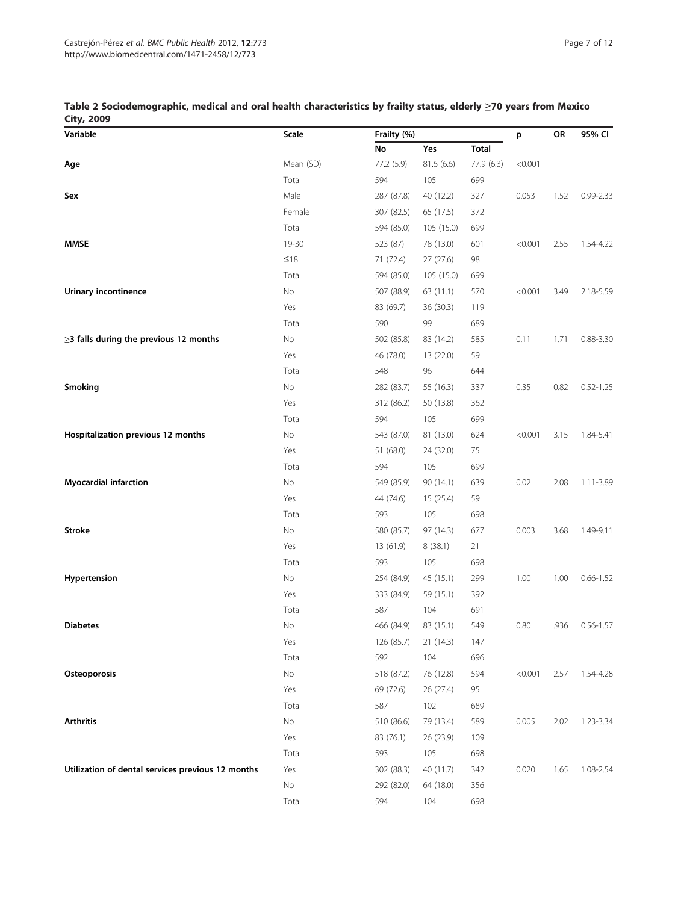| Variable                                          | Scale<br>No | Frailty (%) |            |              | р       | OR   | 95% CI        |
|---------------------------------------------------|-------------|-------------|------------|--------------|---------|------|---------------|
|                                                   |             |             | Yes        | <b>Total</b> |         |      |               |
| Age                                               | Mean (SD)   | 77.2 (5.9)  | 81.6 (6.6) | 77.9 (6.3)   | < 0.001 |      |               |
|                                                   | Total       | 594         | 105        | 699          |         |      |               |
| Sex                                               | Male        | 287 (87.8)  | 40 (12.2)  | 327          | 0.053   | 1.52 | $0.99 - 2.33$ |
|                                                   | Female      | 307 (82.5)  | 65 (17.5)  | 372          |         |      |               |
|                                                   | Total       | 594 (85.0)  | 105 (15.0) | 699          |         |      |               |
| <b>MMSE</b>                                       | 19-30       | 523 (87)    | 78 (13.0)  | 601          | < 0.001 | 2.55 | 1.54-4.22     |
|                                                   | $\leq 18$   | 71 (72.4)   | 27 (27.6)  | 98           |         |      |               |
|                                                   | Total       | 594 (85.0)  | 105 (15.0) | 699          |         |      |               |
| Urinary incontinence                              | No          | 507 (88.9)  | 63 (11.1)  | 570          | < 0.001 | 3.49 | 2.18-5.59     |
|                                                   | Yes         | 83 (69.7)   | 36 (30.3)  | 119          |         |      |               |
|                                                   | Total       | 590         | 99         | 689          |         |      |               |
| $\geq$ 3 falls during the previous 12 months      | No          | 502 (85.8)  | 83 (14.2)  | 585          | 0.11    | 1.71 | $0.88 - 3.30$ |
|                                                   | Yes         | 46 (78.0)   | 13 (22.0)  | 59           |         |      |               |
|                                                   | Total       | 548         | 96         | 644          |         |      |               |
| Smoking                                           | No          | 282 (83.7)  | 55 (16.3)  | 337          | 0.35    | 0.82 | $0.52 - 1.25$ |
|                                                   | Yes         | 312 (86.2)  | 50 (13.8)  | 362          |         |      |               |
|                                                   | Total       | 594         | 105        | 699          |         |      |               |
| Hospitalization previous 12 months                | No          | 543 (87.0)  | 81 (13.0)  | 624          | < 0.001 | 3.15 | 1.84-5.41     |
|                                                   | Yes         | 51 (68.0)   | 24 (32.0)  | 75           |         |      |               |
|                                                   | Total       | 594         | 105        | 699          |         |      |               |
| <b>Myocardial infarction</b>                      | No          | 549 (85.9)  | 90 (14.1)  | 639          | 0.02    | 2.08 | 1.11-3.89     |
|                                                   | Yes         | 44 (74.6)   | 15 (25.4)  | 59           |         |      |               |
|                                                   | Total       | 593         | 105        | 698          |         |      |               |
| <b>Stroke</b>                                     | No          | 580 (85.7)  | 97 (14.3)  | 677          | 0.003   | 3.68 | 1.49-9.11     |
|                                                   | Yes         | 13 (61.9)   | 8(38.1)    | 21           |         |      |               |
|                                                   | Total       | 593         | 105        | 698          |         |      |               |
| Hypertension                                      | No          | 254 (84.9)  | 45 (15.1)  | 299          | 1.00    | 1.00 | $0.66 - 1.52$ |
|                                                   | Yes         | 333 (84.9)  | 59 (15.1)  | 392          |         |      |               |
|                                                   | Total       | 587         | 104        | 691          |         |      |               |
| <b>Diabetes</b>                                   | No          | 466 (84.9)  | 83 (15.1)  | 549          | 0.80    | .936 | $0.56 - 1.57$ |
|                                                   | Yes         | 126 (85.7)  | 21(14.3)   | 147          |         |      |               |
|                                                   | Total       | 592         | 104        | 696          |         |      |               |
| Osteoporosis                                      | No          | 518 (87.2)  | 76 (12.8)  | 594          | < 0.001 | 2.57 | 1.54-4.28     |
|                                                   | Yes         | 69 (72.6)   | 26 (27.4)  | 95           |         |      |               |
|                                                   | Total       | 587         | 102        | 689          |         |      |               |
| <b>Arthritis</b>                                  | No          | 510 (86.6)  | 79 (13.4)  | 589          | 0.005   | 2.02 | 1.23-3.34     |
|                                                   | Yes         | 83 (76.1)   | 26 (23.9)  | 109          |         |      |               |
|                                                   | Total       | 593         | 105        | 698          |         |      |               |
| Utilization of dental services previous 12 months | Yes         | 302 (88.3)  | 40 (11.7)  | 342          | 0.020   | 1.65 | 1.08-2.54     |
|                                                   | No          | 292 (82.0)  | 64 (18.0)  | 356          |         |      |               |
|                                                   | Total       | 594         | 104        | 698          |         |      |               |

<span id="page-6-0"></span>Table 2 Sociodemographic, medical and oral health characteristics by frailty status, elderly ≥70 years from Mexico City, 2009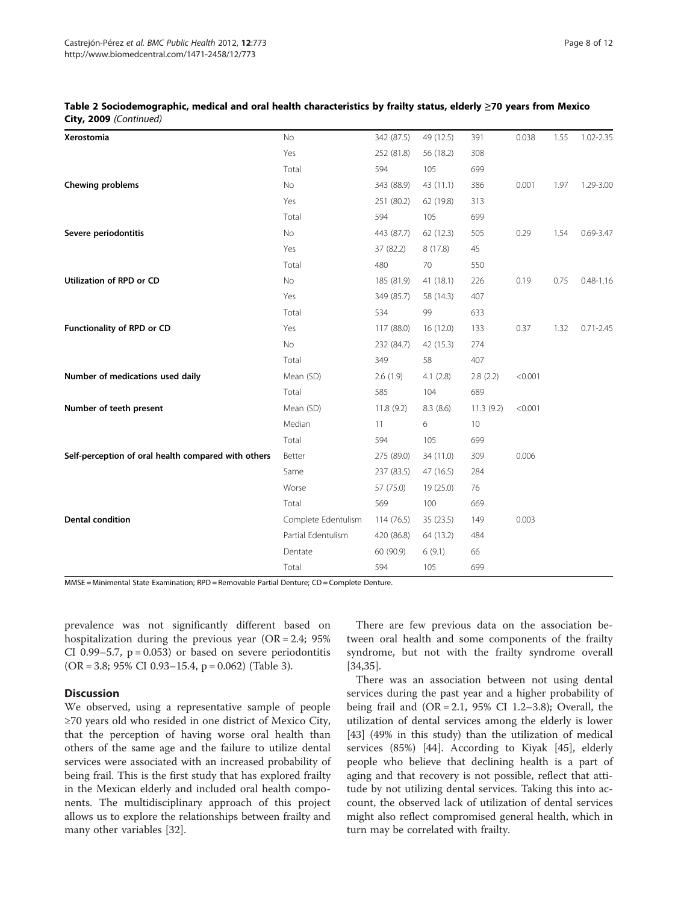|                        |  | Table 2 Sociodemographic, medical and oral health characteristics by frailty status, elderly $\geq$ 70 years from Mexico |  |
|------------------------|--|--------------------------------------------------------------------------------------------------------------------------|--|
| City, 2009 (Continued) |  |                                                                                                                          |  |

| No                  | 342 (87.5) | 49 (12.5) | 391       | 0.038   | 1.55 | 1.02-2.35     |
|---------------------|------------|-----------|-----------|---------|------|---------------|
|                     |            |           |           |         |      |               |
| Yes                 | 252 (81.8) | 56 (18.2) | 308       |         |      |               |
| Total               | 594        | 105       | 699       |         |      |               |
| No                  | 343 (88.9) | 43 (11.1) | 386       | 0.001   | 1.97 | 1.29-3.00     |
| Yes                 | 251 (80.2) | 62 (19.8) | 313       |         |      |               |
| Total               | 594        | 105       | 699       |         |      |               |
| No                  | 443 (87.7) | 62 (12.3) | 505       | 0.29    | 1.54 | $0.69 - 3.47$ |
| Yes                 | 37 (82.2)  | 8 (17.8)  | 45        |         |      |               |
| Total               | 480        | 70        | 550       |         |      |               |
| No                  | 185 (81.9) | 41 (18.1) | 226       | 0.19    | 0.75 | $0.48 - 1.16$ |
| Yes                 | 349 (85.7) | 58 (14.3) | 407       |         |      |               |
| Total               | 534        | 99        | 633       |         |      |               |
| Yes                 | 117 (88.0) | 16(12.0)  | 133       | 0.37    | 1.32 | $0.71 - 2.45$ |
| No                  | 232 (84.7) | 42 (15.3) | 274       |         |      |               |
| Total               | 349        | 58        | 407       |         |      |               |
| Mean (SD)           | 2.6(1.9)   | 4.1(2.8)  | 2.8(2.2)  | < 0.001 |      |               |
| Total               | 585        | 104       | 689       |         |      |               |
| Mean (SD)           | 11.8(9.2)  | 8.3(8.6)  | 11.3(9.2) | < 0.001 |      |               |
| Median              | 11         | 6         | 10        |         |      |               |
| Total               | 594        | 105       | 699       |         |      |               |
| Better              | 275 (89.0) | 34 (11.0) | 309       | 0.006   |      |               |
| Same                | 237 (83.5) | 47 (16.5) | 284       |         |      |               |
| Worse               | 57 (75.0)  | 19 (25.0) | 76        |         |      |               |
| Total               | 569        | 100       | 669       |         |      |               |
| Complete Edentulism | 114(76.5)  | 35(23.5)  | 149       | 0.003   |      |               |
| Partial Edentulism  | 420 (86.8) | 64 (13.2) | 484       |         |      |               |
| Dentate             | 60 (90.9)  | 6(9.1)    | 66        |         |      |               |
| Total               | 594        | 105       | 699       |         |      |               |
|                     |            |           |           |         |      |               |

MMSE = Minimental State Examination; RPD = Removable Partial Denture; CD = Complete Denture.

prevalence was not significantly different based on hospitalization during the previous year (OR = 2.4; 95% CI 0.99–5.7,  $p = 0.053$ ) or based on severe periodontitis (OR = 3.8; 95% CI 0.93–15.4, p = 0.062) (Table [3](#page-8-0)).

## **Discussion**

We observed, using a representative sample of people ≥70 years old who resided in one district of Mexico City, that the perception of having worse oral health than others of the same age and the failure to utilize dental services were associated with an increased probability of being frail. This is the first study that has explored frailty in the Mexican elderly and included oral health components. The multidisciplinary approach of this project allows us to explore the relationships between frailty and many other variables [\[32](#page-11-0)].

There are few previous data on the association between oral health and some components of the frailty syndrome, but not with the frailty syndrome overall [[34,35\]](#page-11-0).

There was an association between not using dental services during the past year and a higher probability of being frail and  $(OR = 2.1, 95\% \text{ CI } 1.2-3.8)$ ; Overall, the utilization of dental services among the elderly is lower [[43\]](#page-11-0) (49% in this study) than the utilization of medical services (85%) [[44](#page-11-0)]. According to Kiyak [\[45](#page-11-0)], elderly people who believe that declining health is a part of aging and that recovery is not possible, reflect that attitude by not utilizing dental services. Taking this into account, the observed lack of utilization of dental services might also reflect compromised general health, which in turn may be correlated with frailty.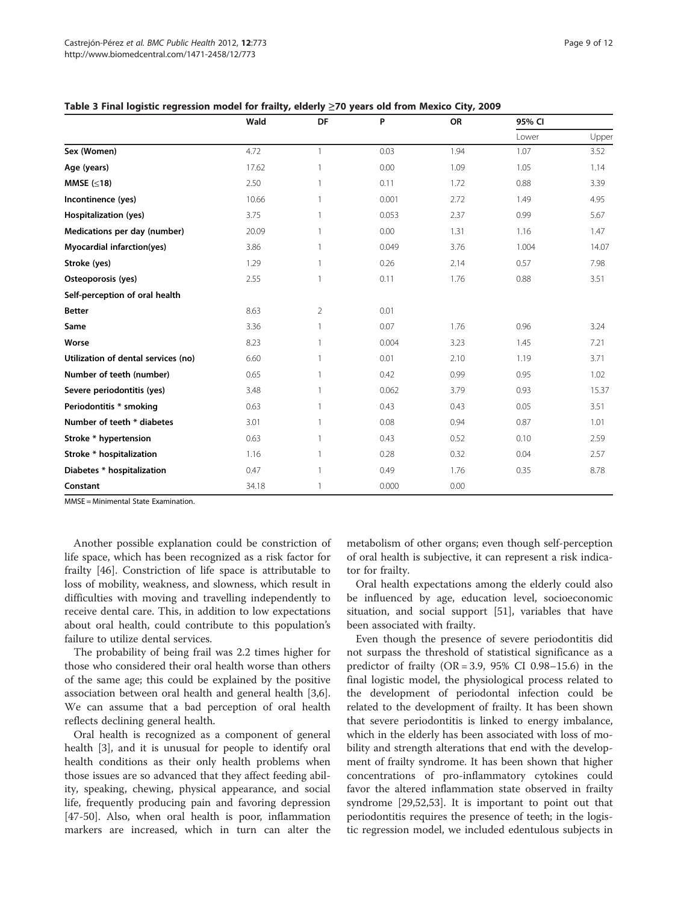|                                     | Wald  | DF             | P     | <b>OR</b> | 95% CI |       |
|-------------------------------------|-------|----------------|-------|-----------|--------|-------|
|                                     |       |                |       |           | Lower  | Upper |
| Sex (Women)                         | 4.72  |                | 0.03  | 1.94      | 1.07   | 3.52  |
| Age (years)                         | 17.62 |                | 0.00  | 1.09      | 1.05   | 1.14  |
| MMSE $(\leq 18)$                    | 2.50  |                | 0.11  | 1.72      | 0.88   | 3.39  |
| Incontinence (yes)                  | 10.66 |                | 0.001 | 2.72      | 1.49   | 4.95  |
| Hospitalization (yes)               | 3.75  |                | 0.053 | 2.37      | 0.99   | 5.67  |
| Medications per day (number)        | 20.09 |                | 0.00  | 1.31      | 1.16   | 1.47  |
| Myocardial infarction(yes)          | 3.86  |                | 0.049 | 3.76      | 1.004  | 14.07 |
| Stroke (yes)                        | 1.29  |                | 0.26  | 2.14      | 0.57   | 7.98  |
| Osteoporosis (yes)                  | 2.55  |                | 0.11  | 1.76      | 0.88   | 3.51  |
| Self-perception of oral health      |       |                |       |           |        |       |
| <b>Better</b>                       | 8.63  | $\overline{2}$ | 0.01  |           |        |       |
| Same                                | 3.36  |                | 0.07  | 1.76      | 0.96   | 3.24  |
| Worse                               | 8.23  |                | 0.004 | 3.23      | 1.45   | 7.21  |
| Utilization of dental services (no) | 6.60  |                | 0.01  | 2.10      | 1.19   | 3.71  |
| Number of teeth (number)            | 0.65  |                | 0.42  | 0.99      | 0.95   | 1.02  |
| Severe periodontitis (yes)          | 3.48  |                | 0.062 | 3.79      | 0.93   | 15.37 |
| Periodontitis * smoking             | 0.63  |                | 0.43  | 0.43      | 0.05   | 3.51  |
| Number of teeth * diabetes          | 3.01  |                | 0.08  | 0.94      | 0.87   | 1.01  |
| Stroke * hypertension               | 0.63  |                | 0.43  | 0.52      | 0.10   | 2.59  |
| Stroke * hospitalization            | 1.16  |                | 0.28  | 0.32      | 0.04   | 2.57  |
| Diabetes * hospitalization          | 0.47  |                | 0.49  | 1.76      | 0.35   | 8.78  |
| Constant                            | 34.18 |                | 0.000 | 0.00      |        |       |

<span id="page-8-0"></span>Table 3 Final logistic regression model for frailty, elderly ≥70 years old from Mexico City, 2009

MMSE = Minimental State Examination.

Another possible explanation could be constriction of life space, which has been recognized as a risk factor for frailty [\[46\]](#page-11-0). Constriction of life space is attributable to loss of mobility, weakness, and slowness, which result in difficulties with moving and travelling independently to receive dental care. This, in addition to low expectations about oral health, could contribute to this population's failure to utilize dental services.

The probability of being frail was 2.2 times higher for those who considered their oral health worse than others of the same age; this could be explained by the positive association between oral health and general health [\[3,6](#page-10-0)]. We can assume that a bad perception of oral health reflects declining general health.

Oral health is recognized as a component of general health [\[3](#page-10-0)], and it is unusual for people to identify oral health conditions as their only health problems when those issues are so advanced that they affect feeding ability, speaking, chewing, physical appearance, and social life, frequently producing pain and favoring depression [[47-50](#page-11-0)]. Also, when oral health is poor, inflammation markers are increased, which in turn can alter the metabolism of other organs; even though self-perception of oral health is subjective, it can represent a risk indicator for frailty.

Oral health expectations among the elderly could also be influenced by age, education level, socioeconomic situation, and social support [[51\]](#page-11-0), variables that have been associated with frailty.

Even though the presence of severe periodontitis did not surpass the threshold of statistical significance as a predictor of frailty ( $OR = 3.9$ ,  $95\%$  CI 0.98-15.6) in the final logistic model, the physiological process related to the development of periodontal infection could be related to the development of frailty. It has been shown that severe periodontitis is linked to energy imbalance, which in the elderly has been associated with loss of mobility and strength alterations that end with the development of frailty syndrome. It has been shown that higher concentrations of pro-inflammatory cytokines could favor the altered inflammation state observed in frailty syndrome [[29,](#page-10-0)[52,53\]](#page-11-0). It is important to point out that periodontitis requires the presence of teeth; in the logistic regression model, we included edentulous subjects in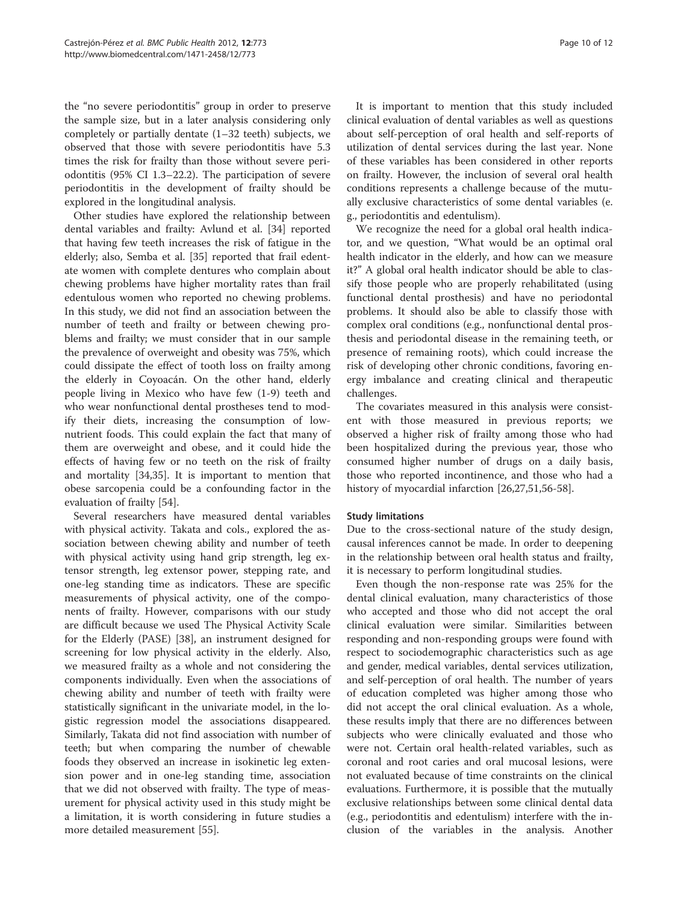the "no severe periodontitis" group in order to preserve the sample size, but in a later analysis considering only completely or partially dentate (1–32 teeth) subjects, we observed that those with severe periodontitis have 5.3 times the risk for frailty than those without severe periodontitis (95% CI 1.3–22.2). The participation of severe periodontitis in the development of frailty should be explored in the longitudinal analysis.

Other studies have explored the relationship between dental variables and frailty: Avlund et al. [\[34](#page-11-0)] reported that having few teeth increases the risk of fatigue in the elderly; also, Semba et al. [[35](#page-11-0)] reported that frail edentate women with complete dentures who complain about chewing problems have higher mortality rates than frail edentulous women who reported no chewing problems. In this study, we did not find an association between the number of teeth and frailty or between chewing problems and frailty; we must consider that in our sample the prevalence of overweight and obesity was 75%, which could dissipate the effect of tooth loss on frailty among the elderly in Coyoacán. On the other hand, elderly people living in Mexico who have few (1-9) teeth and who wear nonfunctional dental prostheses tend to modify their diets, increasing the consumption of lownutrient foods. This could explain the fact that many of them are overweight and obese, and it could hide the effects of having few or no teeth on the risk of frailty and mortality [[34,35\]](#page-11-0). It is important to mention that obese sarcopenia could be a confounding factor in the evaluation of frailty [\[54](#page-11-0)].

Several researchers have measured dental variables with physical activity. Takata and cols., explored the association between chewing ability and number of teeth with physical activity using hand grip strength, leg extensor strength, leg extensor power, stepping rate, and one-leg standing time as indicators. These are specific measurements of physical activity, one of the components of frailty. However, comparisons with our study are difficult because we used The Physical Activity Scale for the Elderly (PASE) [\[38](#page-11-0)], an instrument designed for screening for low physical activity in the elderly. Also, we measured frailty as a whole and not considering the components individually. Even when the associations of chewing ability and number of teeth with frailty were statistically significant in the univariate model, in the logistic regression model the associations disappeared. Similarly, Takata did not find association with number of teeth; but when comparing the number of chewable foods they observed an increase in isokinetic leg extension power and in one-leg standing time, association that we did not observed with frailty. The type of measurement for physical activity used in this study might be a limitation, it is worth considering in future studies a more detailed measurement [\[55](#page-11-0)].

It is important to mention that this study included clinical evaluation of dental variables as well as questions about self-perception of oral health and self-reports of utilization of dental services during the last year. None of these variables has been considered in other reports on frailty. However, the inclusion of several oral health conditions represents a challenge because of the mutually exclusive characteristics of some dental variables (e. g., periodontitis and edentulism).

We recognize the need for a global oral health indicator, and we question, "What would be an optimal oral health indicator in the elderly, and how can we measure it?" A global oral health indicator should be able to classify those people who are properly rehabilitated (using functional dental prosthesis) and have no periodontal problems. It should also be able to classify those with complex oral conditions (e.g., nonfunctional dental prosthesis and periodontal disease in the remaining teeth, or presence of remaining roots), which could increase the risk of developing other chronic conditions, favoring energy imbalance and creating clinical and therapeutic challenges.

The covariates measured in this analysis were consistent with those measured in previous reports; we observed a higher risk of frailty among those who had been hospitalized during the previous year, those who consumed higher number of drugs on a daily basis, those who reported incontinence, and those who had a history of myocardial infarction [\[26,27,](#page-10-0)[51,56-58](#page-11-0)].

#### Study limitations

Due to the cross-sectional nature of the study design, causal inferences cannot be made. In order to deepening in the relationship between oral health status and frailty, it is necessary to perform longitudinal studies.

Even though the non-response rate was 25% for the dental clinical evaluation, many characteristics of those who accepted and those who did not accept the oral clinical evaluation were similar. Similarities between responding and non-responding groups were found with respect to sociodemographic characteristics such as age and gender, medical variables, dental services utilization, and self-perception of oral health. The number of years of education completed was higher among those who did not accept the oral clinical evaluation. As a whole, these results imply that there are no differences between subjects who were clinically evaluated and those who were not. Certain oral health-related variables, such as coronal and root caries and oral mucosal lesions, were not evaluated because of time constraints on the clinical evaluations. Furthermore, it is possible that the mutually exclusive relationships between some clinical dental data (e.g., periodontitis and edentulism) interfere with the inclusion of the variables in the analysis. Another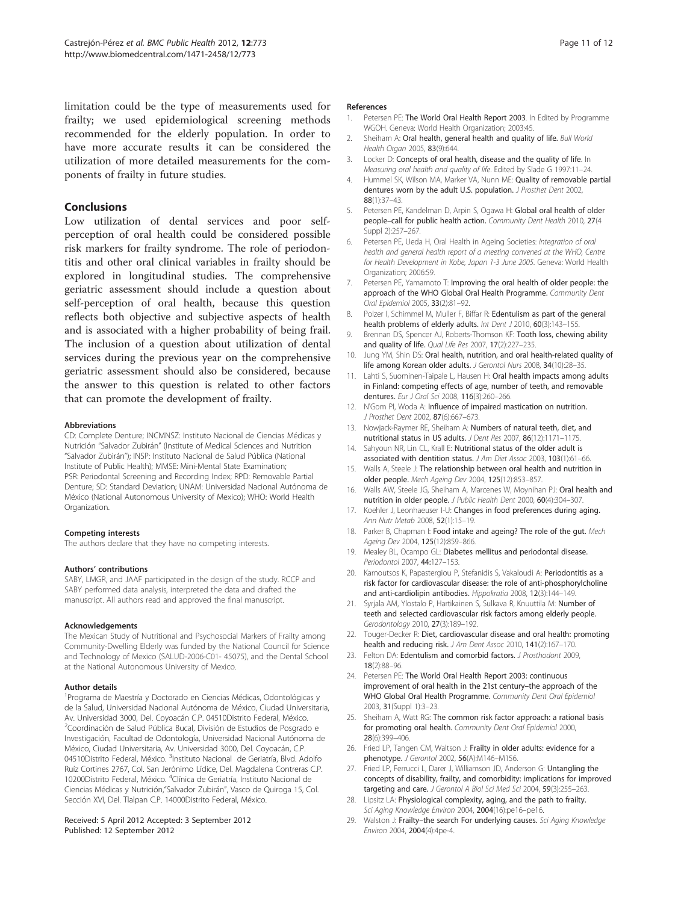<span id="page-10-0"></span>limitation could be the type of measurements used for frailty; we used epidemiological screening methods recommended for the elderly population. In order to have more accurate results it can be considered the utilization of more detailed measurements for the components of frailty in future studies.

## Conclusions

Low utilization of dental services and poor selfperception of oral health could be considered possible risk markers for frailty syndrome. The role of periodontitis and other oral clinical variables in frailty should be explored in longitudinal studies. The comprehensive geriatric assessment should include a question about self-perception of oral health, because this question reflects both objective and subjective aspects of health and is associated with a higher probability of being frail. The inclusion of a question about utilization of dental services during the previous year on the comprehensive geriatric assessment should also be considered, because the answer to this question is related to other factors that can promote the development of frailty.

#### Abbreviations

CD: Complete Denture; INCMNSZ: Instituto Nacional de Ciencias Médicas y Nutrición "Salvador Zubirán" (Institute of Medical Sciences and Nutrition "Salvador Zubirán"); INSP: Instituto Nacional de Salud Pública (National Institute of Public Health); MMSE: Mini-Mental State Examination; PSR: Periodontal Screening and Recording Index; RPD: Removable Partial Denture; SD: Standard Deviation; UNAM: Universidad Nacional Autónoma de México (National Autonomous University of Mexico); WHO: World Health Organization.

#### Competing interests

The authors declare that they have no competing interests.

#### Authors' contributions

SABY, LMGR, and JAAF participated in the design of the study. RCCP and SABY performed data analysis, interpreted the data and drafted the manuscript. All authors read and approved the final manuscript.

#### Acknowledgements

The Mexican Study of Nutritional and Psychosocial Markers of Frailty among Community-Dwelling Elderly was funded by the National Council for Science and Technology of Mexico (SALUD-2006-C01- 45075), and the Dental School at the National Autonomous University of Mexico.

#### Author details

<sup>1</sup> Programa de Maestría y Doctorado en Ciencias Médicas, Odontológicas y de la Salud, Universidad Nacional Autónoma de México, Ciudad Universitaria, Av. Universidad 3000, Del. Coyoacán C.P. 04510Distrito Federal, México. <sup>2</sup>Coordinación de Salud Pública Bucal, División de Estudios de Posgrado e Investigación, Facultad de Odontología, Universidad Nacional Autónoma de México, Ciudad Universitaria, Av. Universidad 3000, Del. Coyoacán, C.P. 04510Distrito Federal, México. <sup>3</sup>Instituto Nacional de Geriatría, Blvd. Adolfo Ruíz Cortines 2767, Col. San Jerónimo Lídice, Del. Magdalena Contreras C.P. 10200Distrito Federal, México. <sup>4</sup>Clínica de Geriatría, Instituto Nacional de Ciencias Médicas y Nutrición,"Salvador Zubirán", Vasco de Quiroga 15, Col. Sección XVI, Del. Tlalpan C.P. 14000Distrito Federal, México.

#### Received: 5 April 2012 Accepted: 3 September 2012 Published: 12 September 2012

#### References

- 1. Petersen PE: The World Oral Health Report 2003. In Edited by Programme WGOH. Geneva: World Health Organization; 2003:45.
- 2. Sheiham A: Oral health, general health and quality of life. Bull World Health Organ 2005, 83(9):644.
- 3. Locker D: Concepts of oral health, disease and the quality of life. In Measuring oral health and quality of life. Edited by Slade G 1997:11–24.
- 4. Hummel SK, Wilson MA, Marker VA, Nunn ME: Quality of removable partial dentures worn by the adult U.S. population. J Prosthet Dent 2002, 88(1):37–43.
- 5. Petersen PE, Kandelman D, Arpin S, Ogawa H: Global oral health of older people–call for public health action. Community Dent Health 2010, 27(4 Suppl 2):257–267.
- 6. Petersen PE, Ueda H, Oral Health in Ageing Societies: Integration of oral health and general health report of a meeting convened at the WHO, Centre for Health Development in Kobe, Japan 1-3 June 2005. Geneva: World Health Organization; 2006:59.
- 7. Petersen PE, Yamamoto T: Improving the oral health of older people: the approach of the WHO Global Oral Health Programme. Community Dent Oral Epidemiol 2005, 33(2):81–92.
- 8. Polzer I, Schimmel M, Muller F, Biffar R: Edentulism as part of the general health problems of elderly adults. Int Dent J 2010, 60(3):143-155.
- 9. Brennan DS, Spencer AJ, Roberts-Thomson KF: Tooth loss, chewing ability and quality of life. Qual Life Res 2007, 17(2):227–235.
- 10. Jung YM, Shin DS: Oral health, nutrition, and oral health-related quality of life among Korean older adults. J Gerontol Nurs 2008, 34(10):28-35.
- 11. Lahti S, Suominen-Taipale L, Hausen H: Oral health impacts among adults in Finland: competing effects of age, number of teeth, and removable dentures. Eur J Oral Sci 2008, 116(3):260–266.
- 12. N'Gom PL Woda A: Influence of impaired mastication on nutrition. J Prosthet Dent 2002, 87(6):667–673.
- 13. Nowjack-Raymer RE, Sheiham A: Numbers of natural teeth, diet, and nutritional status in US adults. J Dent Res 2007, 86(12):1171–1175.
- 14. Sahyoun NR, Lin CL, Krall E: Nutritional status of the older adult is associated with dentition status. J Am Diet Assoc 2003, 103(1):61–66.
- 15. Walls A, Steele J: The relationship between oral health and nutrition in older people. Mech Ageing Dev 2004, 125(12):853–857.
- 16. Walls AW, Steele JG, Sheiham A, Marcenes W, Moynihan PJ: Oral health and nutrition in older people. J Public Health Dent 2000, 60(4):304–307.
- 17. Koehler J, Leonhaeuser I-U: Changes in food preferences during aging. Ann Nutr Metab 2008, 52(1):15–19.
- 18. Parker B, Chapman I: Food intake and ageing? The role of the gut. Mech Ageing Dev 2004, 125(12):859–866.
- 19. Mealey BL, Ocampo GL: Diabetes mellitus and periodontal disease. Periodontol 2007, 44:127–153.
- 20. Karnoutsos K, Papastergiou P, Stefanidis S, Vakaloudi A: Periodontitis as a risk factor for cardiovascular disease: the role of anti-phosphorylcholine and anti-cardiolipin antibodies. Hippokratia 2008, 12(3):144–149.
- 21. Syrjala AM, Ylostalo P, Hartikainen S, Sulkava R, Knuuttila M: Number of teeth and selected cardiovascular risk factors among elderly people. Gerodontology 2010, 27(3):189–192.
- 22. Touger-Decker R: Diet, cardiovascular disease and oral health: promoting health and reducing risk. J Am Dent Assoc 2010, 141(2):167-170.
- 23. Felton DA: Edentulism and comorbid factors. J Prosthodont 2009, 18(2):88–96.
- 24. Petersen PE: The World Oral Health Report 2003: continuous improvement of oral health in the 21st century–the approach of the WHO Global Oral Health Programme. Community Dent Oral Epidemiol 2003, 31(Suppl 1):3–23.
- 25. Sheiham A, Watt RG: The common risk factor approach: a rational basis for promoting oral health. Community Dent Oral Epidemiol 2000, 28(6):399–406.
- 26. Fried LP, Tangen CM, Waltson J: Frailty in older adults: evidence for a phenotype. J Gerontol 2002, 56(A):M146–M156.
- 27. Fried LP, Ferrucci L, Darer J, Williamson JD, Anderson G: Untangling the concepts of disability, frailty, and comorbidity: implications for improved targeting and care. J Gerontol A Biol Sci Med Sci 2004, 59(3):255-263.
- 28. Lipsitz LA: Physiological complexity, aging, and the path to frailty. Sci Aging Knowledge Environ 2004, 2004(16):pe16–pe16.
- 29. Walston J: Frailty-the search For underlying causes. Sci Aging Knowledge Environ 2004, 2004(4):4pe-4.